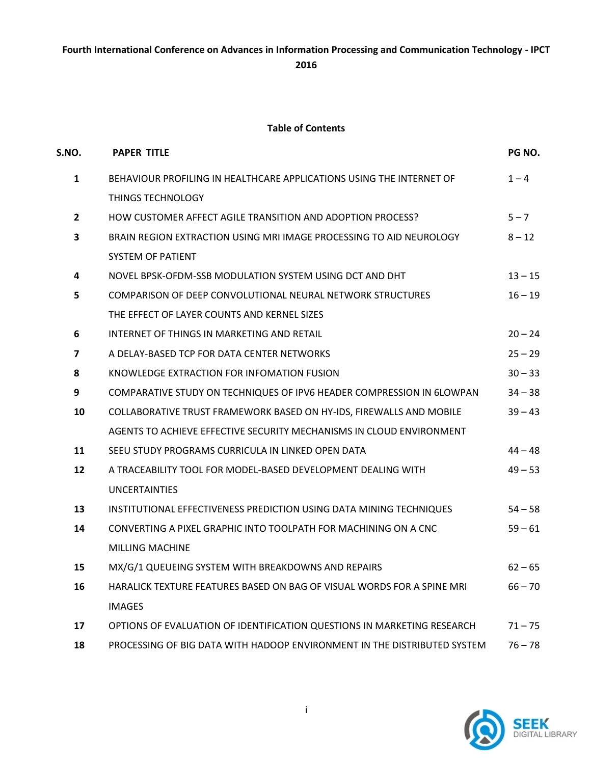## **Fourth International Conference on Advances in Information Processing and Communication Technology - IPCT 2016**

## **Table of Contents**

| S.NO.                   | <b>PAPER TITLE</b>                                                       | PG NO.    |
|-------------------------|--------------------------------------------------------------------------|-----------|
| $\mathbf{1}$            | BEHAVIOUR PROFILING IN HEALTHCARE APPLICATIONS USING THE INTERNET OF     | $1 - 4$   |
|                         | <b>THINGS TECHNOLOGY</b>                                                 |           |
| $\overline{2}$          | HOW CUSTOMER AFFECT AGILE TRANSITION AND ADOPTION PROCESS?               | $5 - 7$   |
| 3                       | BRAIN REGION EXTRACTION USING MRI IMAGE PROCESSING TO AID NEUROLOGY      | $8 - 12$  |
|                         | <b>SYSTEM OF PATIENT</b>                                                 |           |
| 4                       | NOVEL BPSK-OFDM-SSB MODULATION SYSTEM USING DCT AND DHT                  | $13 - 15$ |
| 5                       | COMPARISON OF DEEP CONVOLUTIONAL NEURAL NETWORK STRUCTURES               | $16 - 19$ |
|                         | THE EFFECT OF LAYER COUNTS AND KERNEL SIZES                              |           |
| 6                       | INTERNET OF THINGS IN MARKETING AND RETAIL                               | $20 - 24$ |
| $\overline{\mathbf{z}}$ | A DELAY-BASED TCP FOR DATA CENTER NETWORKS                               | $25 - 29$ |
| 8                       | KNOWLEDGE EXTRACTION FOR INFOMATION FUSION                               | $30 - 33$ |
| 9                       | COMPARATIVE STUDY ON TECHNIQUES OF IPV6 HEADER COMPRESSION IN 6LOWPAN    | $34 - 38$ |
| 10                      | COLLABORATIVE TRUST FRAMEWORK BASED ON HY-IDS, FIREWALLS AND MOBILE      | $39 - 43$ |
|                         | AGENTS TO ACHIEVE EFFECTIVE SECURITY MECHANISMS IN CLOUD ENVIRONMENT     |           |
| 11                      | SEEU STUDY PROGRAMS CURRICULA IN LINKED OPEN DATA                        | $44 - 48$ |
| 12                      | A TRACEABILITY TOOL FOR MODEL-BASED DEVELOPMENT DEALING WITH             | $49 - 53$ |
|                         | <b>UNCERTAINTIES</b>                                                     |           |
| 13                      | INSTITUTIONAL EFFECTIVENESS PREDICTION USING DATA MINING TECHNIQUES      | $54 - 58$ |
| 14                      | CONVERTING A PIXEL GRAPHIC INTO TOOLPATH FOR MACHINING ON A CNC          | $59 - 61$ |
|                         | <b>MILLING MACHINE</b>                                                   |           |
| 15                      | MX/G/1 QUEUEING SYSTEM WITH BREAKDOWNS AND REPAIRS                       | $62 - 65$ |
| 16                      | HARALICK TEXTURE FEATURES BASED ON BAG OF VISUAL WORDS FOR A SPINE MRI   | $66 - 70$ |
|                         | <b>IMAGES</b>                                                            |           |
| 17                      | OPTIONS OF EVALUATION OF IDENTIFICATION QUESTIONS IN MARKETING RESEARCH  | $71 - 75$ |
| 18                      | PROCESSING OF BIG DATA WITH HADOOP ENVIRONMENT IN THE DISTRIBUTED SYSTEM | $76 - 78$ |